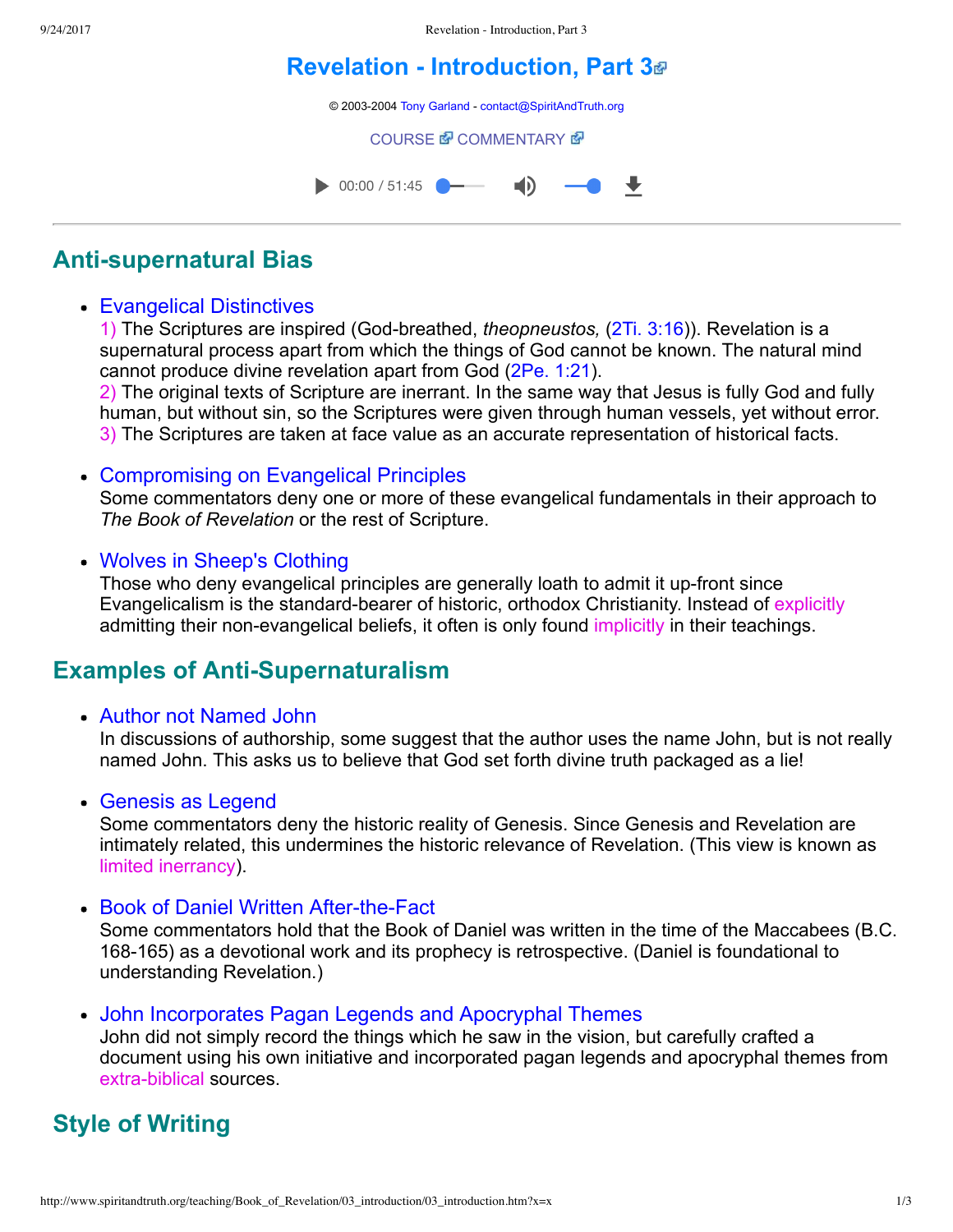# **[Revelation Introduction, Part 3](http://www.spiritandtruth.org/teaching/Book_of_Revelation/03_introduction/index.htm)**

© 2003-2004 [Tony Garland](http://www.spiritandtruth.org/teaching/teachers/tony_garland/bio.htm) - [contact@SpiritAndTruth.org](mailto:contact@SpiritAndTruth.org?subject=ST-MAIL:%20Revelation%20-%20Introduction,%20Part%203)

**[COURSE](http://www.spiritandtruth.org/teaching/Book_of_Revelation/03_introduction/index.htm) & [COMMENTARY](http://www.spiritandtruth.org/teaching/Book_of_Revelation/commentary/htm/index.html?Introduction) &** 



## **Anti-supernatural Bias**

### Evangelical Distinctives

1) The Scriptures are inspired (God-breathed, *theopneustos, [\(2Ti. 3:16](http://www.spiritandtruth.org/bibles/nasb/b55c003.htm#2Ti._C3V16)))*. Revelation is a supernatural process apart from which the things of God cannot be known. The natural mind cannot produce divine revelation apart from God [\(2Pe. 1:21\)](http://www.spiritandtruth.org/bibles/nasb/b61c001.htm#2Pe._C1V21).

2) The original texts of Scripture are inerrant. In the same way that Jesus is fully God and fully human, but without sin, so the Scriptures were given through human vessels, yet without error. 3) The Scriptures are taken at face value as an accurate representation of historical facts.

### Compromising on Evangelical Principles

Some commentators deny one or more of these evangelical fundamentals in their approach to *The Book of Revelation* or the rest of Scripture.

### • Wolves in Sheep's Clothing

Those who deny evangelical principles are generally loath to admit it up-front since Evangelicalism is the standard-bearer of historic, orthodox Christianity. Instead of explicitly admitting their non-evangelical beliefs, it often is only found implicitly in their teachings.

### **Examples of Anti-Supernaturalism**

Author not Named John

In discussions of authorship, some suggest that the author uses the name John, but is not really named John. This asks us to believe that God set forth divine truth packaged as a lie!

### • Genesis as Legend

Some commentators deny the historic reality of Genesis. Since Genesis and Revelation are intimately related, this undermines the historic relevance of Revelation. (This view is known as limited inerrancy).

• Book of Daniel Written After-the-Fact

Some commentators hold that the Book of Daniel was written in the time of the Maccabees (B.C. 168-165) as a devotional work and its prophecy is retrospective. (Daniel is foundational to understanding Revelation.)

John Incorporates Pagan Legends and Apocryphal Themes

John did not simply record the things which he saw in the vision, but carefully crafted a document using his own initiative and incorporated pagan legends and apocryphal themes from extra-biblical sources.

## **Style of Writing**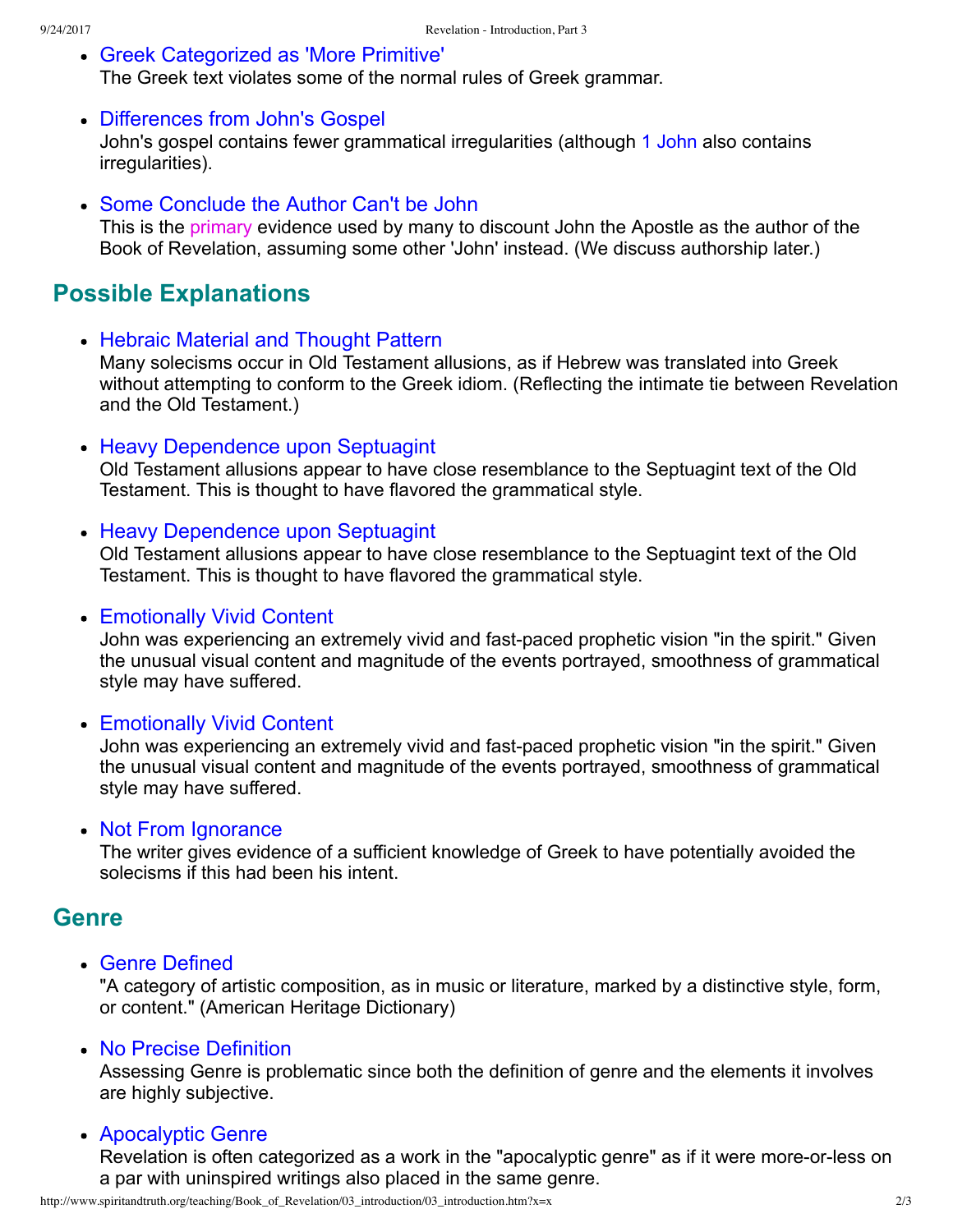- Greek Categorized as 'More Primitive' The Greek text violates some of the normal rules of Greek grammar.
- Differences from John's Gospel John's gospel contains fewer grammatical irregularities (although [1 John](http://www.spiritandtruth.org/bibles/nasb/b62c001.htm#1Jn._C1V1) also contains irregularities).
- Some Conclude the Author Can't be John

This is the primary evidence used by many to discount John the Apostle as the author of the Book of Revelation, assuming some other 'John' instead. (We discuss authorship later.)

## **Possible Explanations**

• Hebraic Material and Thought Pattern

Many solecisms occur in Old Testament allusions, as if Hebrew was translated into Greek without attempting to conform to the Greek idiom. (Reflecting the intimate tie between Revelation and the Old Testament.)

• Heavy Dependence upon Septuagint

Old Testament allusions appear to have close resemblance to the Septuagint text of the Old Testament. This is thought to have flavored the grammatical style.

### • Heavy Dependence upon Septuagint

Old Testament allusions appear to have close resemblance to the Septuagint text of the Old Testament. This is thought to have flavored the grammatical style.

• Emotionally Vivid Content

John was experiencing an extremely vivid and fast-paced prophetic vision "in the spirit." Given the unusual visual content and magnitude of the events portrayed, smoothness of grammatical style may have suffered.

### • Emotionally Vivid Content

John was experiencing an extremely vivid and fast-paced prophetic vision "in the spirit." Given the unusual visual content and magnitude of the events portrayed, smoothness of grammatical style may have suffered.

#### • Not From Ignorance

The writer gives evidence of a sufficient knowledge of Greek to have potentially avoided the solecisms if this had been his intent.

### **Genre**

Genre Defined

"A category of artistic composition, as in music or literature, marked by a distinctive style, form, or content." (American Heritage Dictionary)

• No Precise Definition

Assessing Genre is problematic since both the definition of genre and the elements it involves are highly subjective.

#### Apocalyptic Genre

Revelation is often categorized as a work in the "apocalyptic genre" as if it were more-or-less on a par with uninspired writings also placed in the same genre.